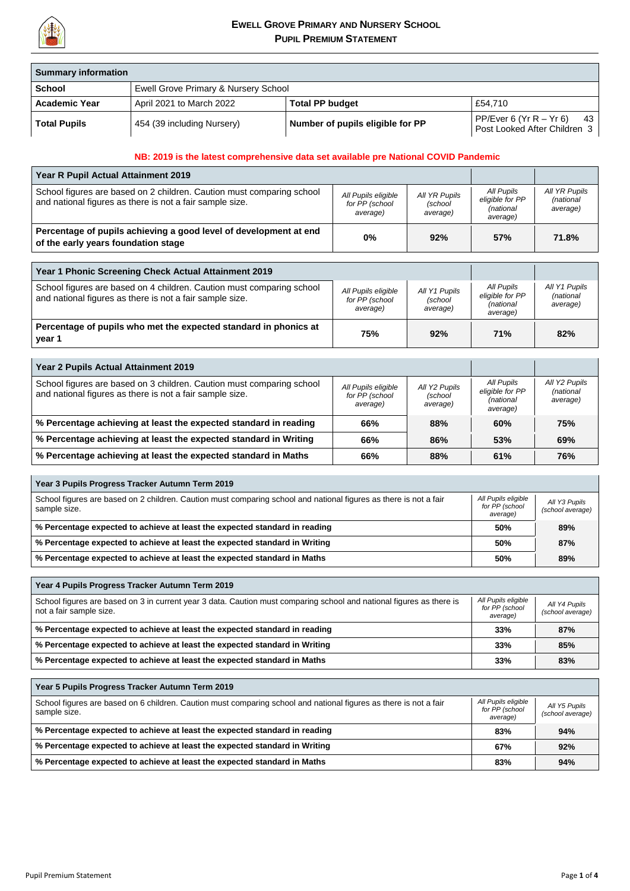

| <b>Summary information</b> |                                      |                                  |                                                                 |
|----------------------------|--------------------------------------|----------------------------------|-----------------------------------------------------------------|
| <b>School</b>              | Ewell Grove Primary & Nursery School |                                  |                                                                 |
| <b>Academic Year</b>       | April 2021 to March 2022             | <b>Total PP budget</b>           | £54.710                                                         |
| <b>Total Pupils</b>        | 454 (39 including Nursery)           | Number of pupils eligible for PP | PP/Ever 6 (Yr R $-$ Yr 6)<br>43<br>Post Looked After Children 3 |

## **NB: 2019 is the latest comprehensive data set available pre National COVID Pandemic**

| <b>Year R Pupil Actual Attainment 2019</b>                                                                                        |                                                   |                                      |                                                        |                                        |
|-----------------------------------------------------------------------------------------------------------------------------------|---------------------------------------------------|--------------------------------------|--------------------------------------------------------|----------------------------------------|
| School figures are based on 2 children. Caution must comparing school<br>and national figures as there is not a fair sample size. | All Pupils eligible<br>for PP (school<br>average) | All YR Pupils<br>(school<br>average) | All Pupils<br>eligible for PP<br>(national<br>average) | All YR Pupils<br>(national<br>average) |
| Percentage of pupils achieving a good level of development at end<br>of the early years foundation stage                          | $0\%$                                             | 92%                                  | 57%                                                    | 71.8%                                  |

| Year 1 Phonic Screening Check Actual Attainment 2019                                                                              |                                                   |                                      |                                                        |                                        |
|-----------------------------------------------------------------------------------------------------------------------------------|---------------------------------------------------|--------------------------------------|--------------------------------------------------------|----------------------------------------|
| School figures are based on 4 children. Caution must comparing school<br>and national figures as there is not a fair sample size. | All Pupils eligible<br>for PP (school<br>average) | All Y1 Pupils<br>(school<br>average) | All Pupils<br>eligible for PP<br>(national<br>average) | All Y1 Pupils<br>(national<br>average) |
| Percentage of pupils who met the expected standard in phonics at<br>year 1                                                        | 75%                                               | 92%                                  | 71%                                                    | 82%                                    |

| Year 2 Pupils Actual Attainment 2019                                                                                              |                                                   |                                      |                                                        |                                        |
|-----------------------------------------------------------------------------------------------------------------------------------|---------------------------------------------------|--------------------------------------|--------------------------------------------------------|----------------------------------------|
| School figures are based on 3 children. Caution must comparing school<br>and national figures as there is not a fair sample size. | All Pupils eligible<br>for PP (school<br>average) | All Y2 Pupils<br>(school<br>average) | All Pupils<br>eligible for PP<br>(national<br>average) | All Y2 Pupils<br>(national<br>average) |
| % Percentage achieving at least the expected standard in reading                                                                  | 66%                                               | 88%                                  | 60%                                                    | 75%                                    |
| % Percentage achieving at least the expected standard in Writing                                                                  | 66%                                               | 86%                                  | 53%                                                    | 69%                                    |
| $\mid$ % Percentage achieving at least the expected standard in Maths                                                             | 66%                                               | 88%                                  | 61%                                                    | 76%                                    |

| Year 3 Pupils Progress Tracker Autumn Term 2019                                                                                   |                                                   |                                   |  |
|-----------------------------------------------------------------------------------------------------------------------------------|---------------------------------------------------|-----------------------------------|--|
| School figures are based on 2 children. Caution must comparing school and national figures as there is not a fair<br>sample size. | All Pupils eligible<br>for PP (school<br>average) | All Y3 Pupils<br>(school average) |  |
| % Percentage expected to achieve at least the expected standard in reading                                                        |                                                   | 89%                               |  |
| % Percentage expected to achieve at least the expected standard in Writing                                                        |                                                   | 87%                               |  |
| % Percentage expected to achieve at least the expected standard in Maths                                                          | 50%                                               | 89%                               |  |

| Year 4 Pupils Progress Tracker Autumn Term 2019                                                                                                 |                                                   |                                   |
|-------------------------------------------------------------------------------------------------------------------------------------------------|---------------------------------------------------|-----------------------------------|
| School figures are based on 3 in current year 3 data. Caution must comparing school and national figures as there is<br>not a fair sample size. | All Pupils eligible<br>for PP (school<br>average) | All Y4 Pupils<br>(school average) |
| % Percentage expected to achieve at least the expected standard in reading<br>33%                                                               |                                                   | 87%                               |
| % Percentage expected to achieve at least the expected standard in Writing                                                                      |                                                   | 85%                               |
| % Percentage expected to achieve at least the expected standard in Maths                                                                        | 33%                                               | 83%                               |

| Year 5 Pupils Progress Tracker Autumn Term 2019                                                                                                                                        |     |                                   |  |
|----------------------------------------------------------------------------------------------------------------------------------------------------------------------------------------|-----|-----------------------------------|--|
| All Pupils eligible<br>School figures are based on 6 children. Caution must comparing school and national figures as there is not a fair<br>for PP (school<br>sample size.<br>average) |     | All Y5 Pupils<br>(school average) |  |
| % Percentage expected to achieve at least the expected standard in reading                                                                                                             |     | 94%                               |  |
| % Percentage expected to achieve at least the expected standard in Writing                                                                                                             |     | 92%                               |  |
| % Percentage expected to achieve at least the expected standard in Maths                                                                                                               | 83% | 94%                               |  |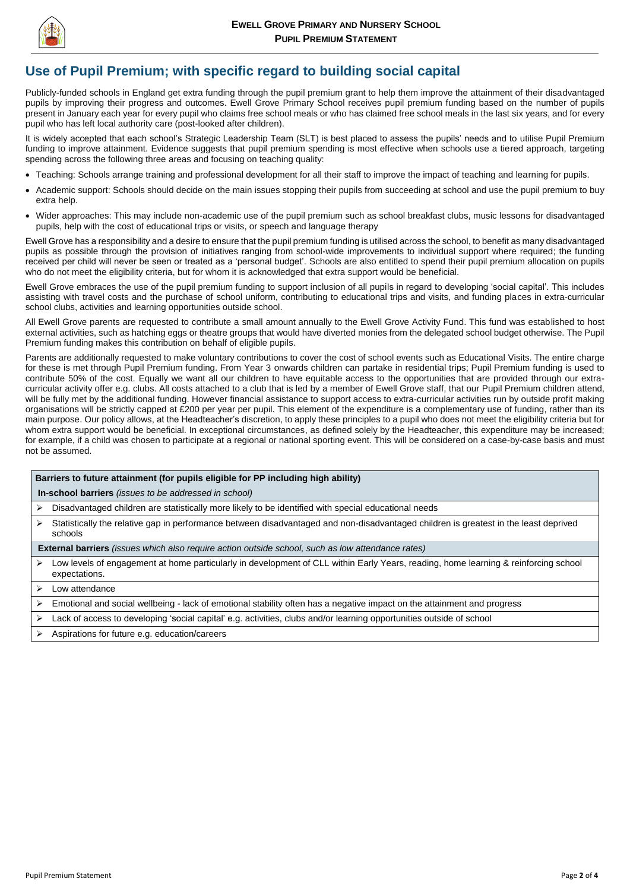

Pupil Premium Statement Page **2** of **4**

## **Use of Pupil Premium; with specific regard to building social capital**

Publicly-funded schools in England get extra funding through the pupil premium grant to help them improve the attainment of their disadvantaged pupils by improving their progress and outcomes. Ewell Grove Primary School receives pupil premium funding based on the number of pupils present in January each year for every pupil who claims free school meals or who has claimed free school meals in the last six years, and for every pupil who has left local authority care (post-looked after children).

Ewell Grove has a responsibility and a desire to ensure that the pupil premium funding is utilised across the school, to benefit as many disadvantaged pupils as possible through the provision of initiatives ranging from school-wide improvements to individual support where required; the funding received per child will never be seen or treated as a 'personal budget'. Schools are also entitled to spend their pupil premium allocation on pupils who do not meet the eligibility criteria, but for whom it is acknowledged that extra support would be beneficial.

It is widely accepted that each school's Strategic Leadership Team (SLT) is best placed to assess the pupils' needs and to utilise Pupil Premium funding to improve attainment. Evidence suggests that pupil premium spending is most effective when schools use a tiered approach, targeting spending across the following three areas and focusing on teaching quality:

- Teaching: Schools arrange training and professional development for all their staff to improve the impact of teaching and learning for pupils.
- Academic support: Schools should decide on the main issues stopping their pupils from succeeding at school and use the pupil premium to buy extra help.
- Wider approaches: This may include non-academic use of the pupil premium such as school breakfast clubs, music lessons for disadvantaged pupils, help with the cost of educational trips or visits, or speech and language therapy

- $\triangleright$  Disadvantaged children are statistically more likely to be identified with special educational needs
- $\triangleright$  Statistically the relative gap in performance between disadvantaged and non-disadvantaged children is greatest in the least deprived schools

Ewell Grove embraces the use of the pupil premium funding to support inclusion of all pupils in regard to developing 'social capital'. This includes assisting with travel costs and the purchase of school uniform, contributing to educational trips and visits, and funding places in extra-curricular school clubs, activities and learning opportunities outside school.

- Low levels of engagement at home particularly in development of CLL within Early Years, reading, home learning & reinforcing school expectations.
- $\triangleright$  Low attendance
- $\triangleright$  Emotional and social wellbeing lack of emotional stability often has a negative impact on the attainment and progress
- Lack of access to developing 'social capital' e.g. activities, clubs and/or learning opportunities outside of school
- $\triangleright$  Aspirations for future e.g. education/careers

All Ewell Grove parents are requested to contribute a small amount annually to the Ewell Grove Activity Fund. This fund was established to host external activities, such as hatching eggs or theatre groups that would have diverted monies from the delegated school budget otherwise. The Pupil Premium funding makes this contribution on behalf of eligible pupils.

Parents are additionally requested to make voluntary contributions to cover the cost of school events such as Educational Visits. The entire charge for these is met through Pupil Premium funding. From Year 3 onwards children can partake in residential trips; Pupil Premium funding is used to contribute 50% of the cost. Equally we want all our children to have equitable access to the opportunities that are provided through our extracurricular activity offer e.g. clubs. All costs attached to a club that is led by a member of Ewell Grove staff, that our Pupil Premium children attend, will be fully met by the additional funding. However financial assistance to support access to extra-curricular activities run by outside profit making organisations will be strictly capped at £200 per year per pupil. This element of the expenditure is a complementary use of funding, rather than its main purpose. Our policy allows, at the Headteacher's discretion, to apply these principles to a pupil who does not meet the eligibility criteria but for whom extra support would be beneficial. In exceptional circumstances, as defined solely by the Headteacher, this expenditure may be increased; for example, if a child was chosen to participate at a regional or national sporting event. This will be considered on a case-by-case basis and must not be assumed.

## **Barriers to future attainment (for pupils eligible for PP including high ability)**

**In-school barriers** *(issues to be addressed in school)*

**External barriers** *(issues which also require action outside school, such as low attendance rates)*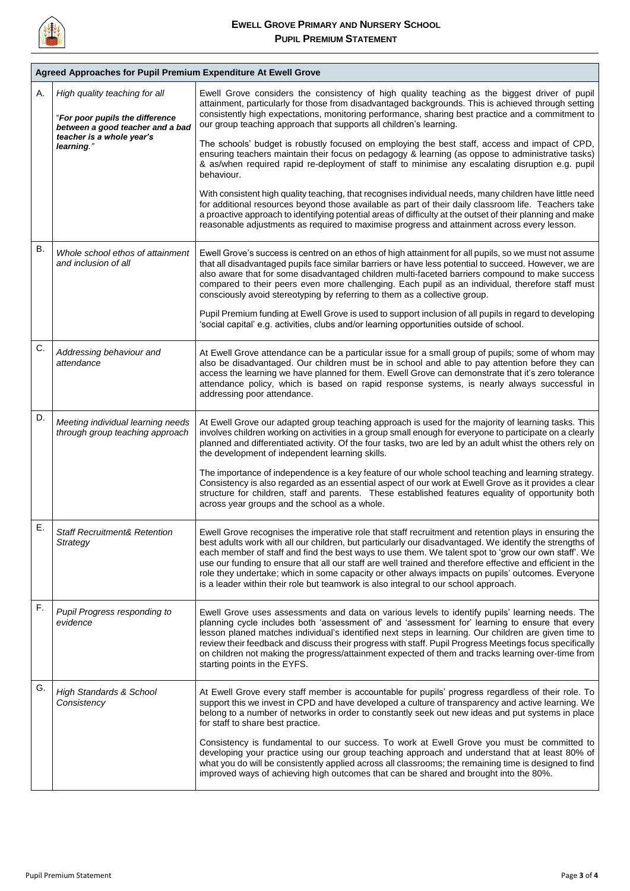

| Α.        | High quality teaching for all<br>"For poor pupils the difference<br>between a good teacher and a bad<br>teacher is a whole year's | Ewell Grove considers the consistency of high quality teaching as the biggest driver of pupil<br>attainment, particularly for those from disadvantaged backgrounds. This is achieved through setting<br>consistently high expectations, monitoring performance, sharing best practice and a commitment to<br>our group teaching approach that supports all children's learning.                                                                                                                                                                                                                                                    |
|-----------|-----------------------------------------------------------------------------------------------------------------------------------|------------------------------------------------------------------------------------------------------------------------------------------------------------------------------------------------------------------------------------------------------------------------------------------------------------------------------------------------------------------------------------------------------------------------------------------------------------------------------------------------------------------------------------------------------------------------------------------------------------------------------------|
|           | learning."                                                                                                                        | The schools' budget is robustly focused on employing the best staff, access and impact of CPD,<br>ensuring teachers maintain their focus on pedagogy & learning (as oppose to administrative tasks)<br>& as/when required rapid re-deployment of staff to minimise any escalating disruption e.g. pupil<br>behaviour.                                                                                                                                                                                                                                                                                                              |
|           |                                                                                                                                   | With consistent high quality teaching, that recognises individual needs, many children have little need<br>for additional resources beyond those available as part of their daily classroom life. Teachers take<br>a proactive approach to identifying potential areas of difficulty at the outset of their planning and make<br>reasonable adjustments as required to maximise progress and attainment across every lesson.                                                                                                                                                                                                       |
| <b>B.</b> | Whole school ethos of attainment<br>and inclusion of all                                                                          | Ewell Grove's success is centred on an ethos of high attainment for all pupils, so we must not assume<br>that all disadvantaged pupils face similar barriers or have less potential to succeed. However, we are<br>also aware that for some disadvantaged children multi-faceted barriers compound to make success<br>compared to their peers even more challenging. Each pupil as an individual, therefore staff must<br>consciously avoid stereotyping by referring to them as a collective group.                                                                                                                               |
|           |                                                                                                                                   | Pupil Premium funding at Ewell Grove is used to support inclusion of all pupils in regard to developing<br>'social capital' e.g. activities, clubs and/or learning opportunities outside of school.                                                                                                                                                                                                                                                                                                                                                                                                                                |
| C.        | Addressing behaviour and<br>attendance                                                                                            | At Ewell Grove attendance can be a particular issue for a small group of pupils; some of whom may<br>also be disadvantaged. Our children must be in school and able to pay attention before they can<br>access the learning we have planned for them. Ewell Grove can demonstrate that it's zero tolerance<br>attendance policy, which is based on rapid response systems, is nearly always successful in<br>addressing poor attendance.                                                                                                                                                                                           |
| D.        | Meeting individual learning needs<br>through group teaching approach                                                              | At Ewell Grove our adapted group teaching approach is used for the majority of learning tasks. This<br>involves children working on activities in a group small enough for everyone to participate on a clearly<br>planned and differentiated activity. Of the four tasks, two are led by an adult whist the others rely on<br>the development of independent learning skills.                                                                                                                                                                                                                                                     |
|           |                                                                                                                                   | The importance of independence is a key feature of our whole school teaching and learning strategy.<br>Consistency is also regarded as an essential aspect of our work at Ewell Grove as it provides a clear<br>structure for children, staff and parents. These established features equality of opportunity both<br>across year groups and the school as a whole.                                                                                                                                                                                                                                                                |
| Ε.        | <b>Staff Recruitment&amp; Retention</b><br>Strategy                                                                               | Ewell Grove recognises the imperative role that staff recruitment and retention plays in ensuring the<br>best adults work with all our children, but particularly our disadvantaged. We identify the strengths of<br>each member of staff and find the best ways to use them. We talent spot to 'grow our own staff'. We<br>use our funding to ensure that all our staff are well trained and therefore effective and efficient in the<br>role they undertake; which in some capacity or other always impacts on pupils' outcomes. Everyone<br>is a leader within their role but teamwork is also integral to our school approach. |
| F.        | <b>Pupil Progress responding to</b><br>evidence                                                                                   | Ewell Grove uses assessments and data on various levels to identify pupils' learning needs. The<br>planning cycle includes both 'assessment of' and 'assessment for' learning to ensure that every<br>lesson planed matches individual's identified next steps in learning. Our children are given time to<br>review their feedback and discuss their progress with staff. Pupil Progress Meetings focus specifically<br>on children not making the progress/attainment expected of them and tracks learning over-time from<br>starting points in the EYFS.                                                                        |

| G. | <b>High Standards &amp; School</b><br>Consistency | At Ewell Grove every staff member is accountable for pupils' progress regardless of their role. To<br>support this we invest in CPD and have developed a culture of transparency and active learning. We<br>belong to a number of networks in order to constantly seek out new ideas and put systems in place<br>for staff to share best practice.                                              |
|----|---------------------------------------------------|-------------------------------------------------------------------------------------------------------------------------------------------------------------------------------------------------------------------------------------------------------------------------------------------------------------------------------------------------------------------------------------------------|
|    |                                                   | Consistency is fundamental to our success. To work at Ewell Grove you must be committed to<br>developing your practice using our group teaching approach and understand that at least 80% of<br>what you do will be consistently applied across all classrooms; the remaining time is designed to find<br>improved ways of achieving high outcomes that can be shared and brought into the 80%. |